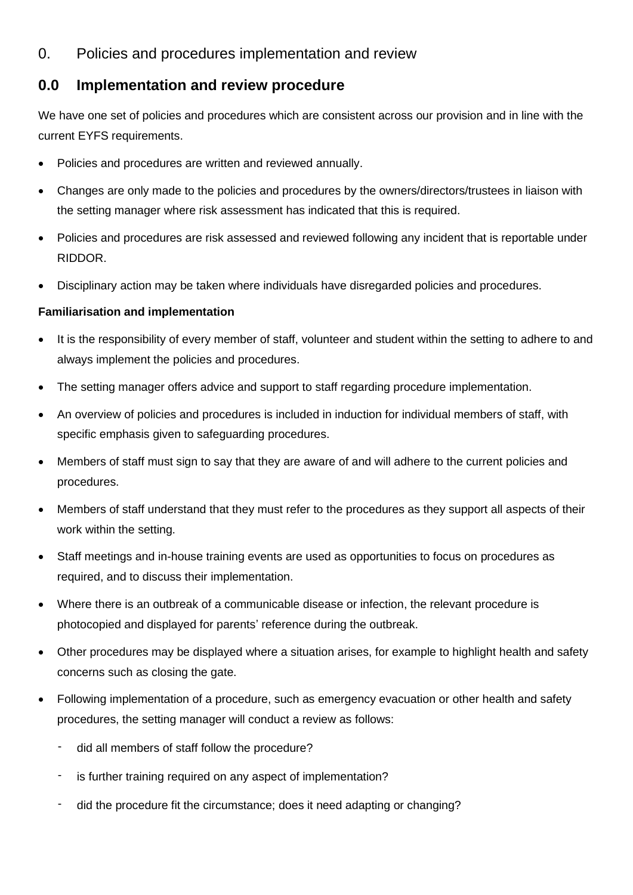## 0. Policies and procedures implementation and review

## **0.0 Implementation and review procedure**

We have one set of policies and procedures which are consistent across our provision and in line with the current EYFS requirements.

- Policies and procedures are written and reviewed annually.
- Changes are only made to the policies and procedures by the owners/directors/trustees in liaison with the setting manager where risk assessment has indicated that this is required.
- Policies and procedures are risk assessed and reviewed following any incident that is reportable under RIDDOR.
- Disciplinary action may be taken where individuals have disregarded policies and procedures.

## **Familiarisation and implementation**

- It is the responsibility of every member of staff, volunteer and student within the setting to adhere to and always implement the policies and procedures.
- The setting manager offers advice and support to staff regarding procedure implementation.
- An overview of policies and procedures is included in induction for individual members of staff, with specific emphasis given to safeguarding procedures.
- Members of staff must sign to say that they are aware of and will adhere to the current policies and procedures.
- Members of staff understand that they must refer to the procedures as they support all aspects of their work within the setting.
- Staff meetings and in-house training events are used as opportunities to focus on procedures as required, and to discuss their implementation.
- Where there is an outbreak of a communicable disease or infection, the relevant procedure is photocopied and displayed for parents' reference during the outbreak.
- Other procedures may be displayed where a situation arises, for example to highlight health and safety concerns such as closing the gate.
- Following implementation of a procedure, such as emergency evacuation or other health and safety procedures, the setting manager will conduct a review as follows:
	- did all members of staff follow the procedure?
	- is further training required on any aspect of implementation?
	- did the procedure fit the circumstance; does it need adapting or changing?